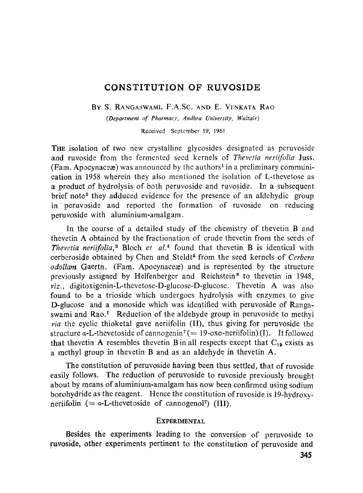## CONSTITUTION OF RUVOSIDE

BY S. RANGASWAMI, F.A.Sc. AND E. VENKATA RAO

*(Department of Pharmacy, Andhra University, Waltair)* 

Received September 19, 1961

THE isolation of two new crystalline glycosides designated as peruvosidc and ruvoside from the fermented seed kernels of *Thevetia neriifoIia* Juss.  $(Fam, Apocynaceæ)$  was announced by the authors<sup>1</sup> in a preliminary communication in 1958 wherein they aiso mentioned the isolation of L-thevetose as a product of hydrolysis of both peruvoside and ruvoside. In a subsequent brief note<sup>2</sup> they adduced evidence for the presence of an aldehydic group in peruvoside and reported the formation of ruvoside on reducing peruvoside with aluminium-amalgam.

In the course of a detailed study of the chemistry of thevetin B and thevetin A obtained by the fractionation of crude thevetin from the seeds of *Thevetia neriifolia*,<sup>3</sup> Bloch *et al.*<sup>4</sup> found that thevetin B is identical with cerberoside obtained by Chen and Steldt<sup>5</sup> from the seed kernels of *Cerbera odollam* Gaertn. (Fam. Apocynace are is represented by the structure previously assigned by Helfenberger and Reichstein 6 to thevetin in 1948, *viz.,* digitoxigenin-L-thevetose-D-glucose-D-glucose. Thevetin A was also found to be a trioside which undergoes hydrolysis with enzymes to gire D-glucose and a monoside which was identified with peruvoside of Rangaswami and  $Rao<sup>1</sup>$ . Reduction of the aldehyde group in peruvoside to methyl *via* the cyclic thioketal gave neriifolin (II), thus giving for peruvoside the structure a-L-thevetoside of cannogenin<sup>7</sup> (= 19-oxo-neriifolin) (I). It followed that thevetin A resembles thevetin B in all respects except that  $C_{19}$  exists as a methyl group in thevetin B andas an aldehyde in thevetin A.

The constitution of peruvoside having been thus settled, that of ruvoside easily follows. The reduction of peruvoside to ruvoside previously brought about by means of aluminium-amalgam has now been confirmed using sodium borohydride as the reagent. Hence the constitution of ruvoside is 19-hydroxyneriifolin (=  $a$ -L-thevetoside of cannogenol<sup>7</sup>) (III).

## **EXPERIMENTAL**

**Besides the experiments leading to the conversion of peruvoside to ruvoside, other experiments pertinent to the constitution of peruvoside and**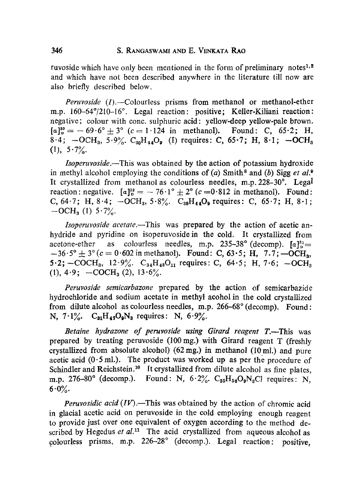ruvoside which have only been mentioned in the form of preliminary notes<sup>1,2</sup> and which have not been described anywhere in the literature till now ate also briefly described below.

*Peruvoside* (I).--Colourless prisms from methanol or methanol-ether m.p. 160-64°/210-16°. Legal reaction: positive; Keller-Kiliani reaction: negative; colour with conc. sulphuric acid: yellow-deep yellow-pale brown.  $[a]_{p}^{30} = -69.6^{\circ} \pm 3^{\circ}$  (c = 1.124 in methanol). Found: C, 65.2; H,  $8.4; -OCH_3, 5.9\%$ .  $C_{30}H_{44}O_9$  (I) requires: C, 65.7; H, 8.1; -OCH<sub>3</sub>  $(1), 5.7\%$ 

*Isoperuvoside.--This* was obtained by the action of potassium hydroxide in methyl alcohol employing the conditions of (a) Smith<sup>8</sup> and (b) Sigg *et al.*<sup>9</sup> It crystallized from methanol as colourless needles, m.p.  $228-30^\circ$ . Legal reaction : negative.  $[a]_p^{32} = -76.1^\circ \pm 2^\circ (c = 0.812 \text{ in methanol}).$  Found: C,  $64.7$ ; H,  $8.4$ ;  $-OCH_3$ ,  $5.8\%$ .  $C_{30}H_{44}O_9$  requires: C,  $65.7$ ; H,  $8.1$ ;  $-OCH<sub>3</sub>$  (1)  $5.7\frac{6}{10}$ .

*Isoperuvoside acetate.--This* was prepared by the action of acetic anhydride and pyridine on isoperuvoside in the cold. It crystallized from acetone-ether as colourless needles, m.p. 235-38° (decomp).  $[a]_0^{31}$ =  $-36.5^{\circ} \pm 3^{\circ}$  (c = 0.602 in methanol). Found: C, 63.5; H, 7.7; -OCH<sub>3</sub>,  $5.2$ ;  $-COCH_3$ ,  $12.9\%$ .  $C_{34}H_{48}O_{11}$  requires: C,  $64.5$ ; H,  $7.6$ ;  $-OCH_3$ (1),  $4.9$ ;  $-COCH<sub>3</sub>$  (2),  $13.6\%$ .

*Peruvoside semicarbazone* prepared by the action of semicarbazide hydrochloride and sodium acetate in methyl acohol in the cold crystallized from dilute alcohol as colourless needles, m.p.  $266-68^\circ$  (decomp). Found: N,  $7.1\%$ .  $C_{a1}H_{47}O_9N_3$  requires: N,  $6.9\%$ .

*Betaine hydrazone of peruvoside using Girard reagent T.*—This was prepared by treating peruvoside (100mg.) with Girard reagent T (freshly crystallized from absolute alcohol)  $(62 \text{ mg.})$  in methanol  $(10 \text{ ml.})$  and pure acetic acid  $(0.5 \text{ ml.})$ . The product was worked up as per the procedure of Schindler and Reichstein.<sup>10</sup> It crystallized from dilute alcohol as fine plates, m.p. 276-80° (decomp.). Found: N,  $6.2\%$ ,  $C_{35}H_{56}O_9N_3Cl$  requires: N,  $6.0\%$ 

*Peruvosidic acid (IV).*—This was obtained by the action of chromic acid in glacial acetic acid on peruvoside in the cold employing enough reagent to provide just over one equivalent of oxygen according to the method described by Hegedus et al.<sup>11</sup> The acid crystallized from aqueous alcohol as colourless prisms, m.p. 226-28° (decomp.). Legal reaction: positive,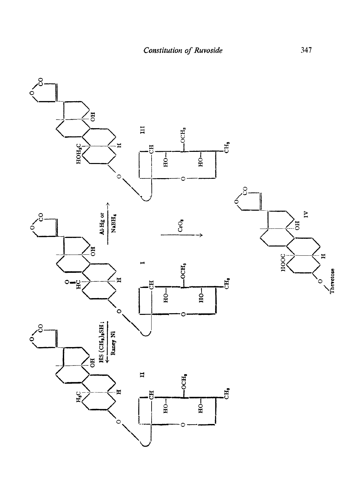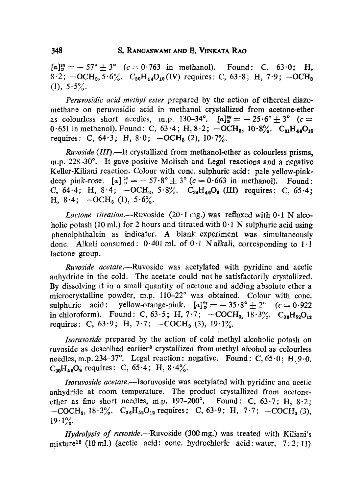$[a]_{p}^{39} = -57^{\circ} \pm 3^{\circ}$  (c = 0.763 in methanol). Found: C, 63.0; H,  $8.2$ ;  $-OCH_3$ ,  $5.6\%$ .  $C_{30}H_{44}O_{10}$  (IV) requires: C, 63.8; H, 7.9;  $-OCH_3$  $(1), 5.5\%$ 

*Peruvosidic acid methyl ester* prepared by the action of ethereal diazomethane on peruvosidic acid in methanol crystallized from acetone-ether as colourless short needles, m.p. 130-34°.  $[a]_p^{20} = -25.6^\circ \pm 3^\circ$  (c = 0.651 in methanol). Found: C,  $63.4$ ; H,  $8.2$ ;  $-OCH_8$ ,  $10.8\%$ .  $C_{s1}H_{4.6}O_{10}$ requires: C,  $64.3$ ; H,  $8.0$ ;  $-OCH_3$  (2),  $10.7\%$ .

*Ruvoside* (*III*).—It crystallized from methanol-ether as colourless prisms, m.p. 228-30 $^{\circ}$ . It gave positive Molisch and Legal reactions and a negative Keller-Kiliani reaction. Colour with conc. sulphuric acid: pale yellow-pinkdeep pink-rose.  $[a]_p^{27} = -57.8^\circ \pm 3^\circ (c = 0.663 \text{ in methanol}).$  Found: C,  $64.4$ ; H,  $8.4$ ;  $-OCH_3$ ,  $5.8\%$ .  $C_{30}H_{46}O_9$  (III) requires: C,  $65.4$ ; H,  $8.4$ ;  $-OCH_3$  (1),  $5.6\%$ .

*Lactone titration.*—Ruvoside  $(20.1 \text{ mg.})$  was refluxed with  $0.1 \text{ N}$  alcoholic potash (10 ml.) for 2 hours and titrated with  $0.1 \text{ N}$  sulphuric acid using phenolphthalein as indicator. A blank experiment was simultaneously done. Alkali consumed:  $0.401$  ml. of  $0.1$  N alkali, corresponding to 1.1 lactone group.

*Ruvoside acetate.--Ruvoside* was acetylated with pyridine and acetic anhydride in the cold. The acetate could not be satisfactorily crystallized. By dissolving it in a small quantity of acetone and adding absolute ether a microcrystalline powder, m.p. 110-22° was obtained. Colour with conc. sulphuric acid: yellow-orange-pink.  $[a]_p^{27} = -35.8^\circ \pm 2^\circ$   $(c = 0.922$ in chloroform). Found: C, 63.5; H, 7.7;  $-COCH_3$ ,  $18.3\%$ . C<sub>36</sub>H<sub>52</sub>O<sub>12</sub>. requires: C,  $63.9$ ; H,  $7.7$ ;  $-COCH<sub>3</sub>(3)$ ,  $19.1\%$ .

*Isoruvoside* prepared by the action of cold methyl alcoholic potash on ruvoside as described earlier<sup>8</sup> crystallized from methyl alcohol as colourless needles, m.p. 234-37°. Legal reaction: negative. Found: C,  $65.0$ ; H,  $9.0$ .  $C_{30}H_{40}O_9$  requires: C, 65.4; H, 8.4%.

*Isoruvoside acetate.--Isoruvoside* was acetylated with pyridine and acetic anhydride at room temperature. The product crystallized from acetoneether as fine short needles, m.p.  $197-200^\circ$ . Found: C,  $63.7$ ; H,  $8.2$ ;  $-COCH<sub>3</sub>$ , 18.3%.  $C_{36}H_{52}O_{12}$  requires; C, 63.9; H, 7.7;  $-COCH<sub>3</sub>$  (3),  $19.1\%$ .

*Hydrolysis of ruvoside.--Ruvoside* (300mg.) was treated with Kiliani's mixture<sup>12</sup> (10 ml.) (acetic acid: conc. hydrochloric acid: water,  $7:2:11$ )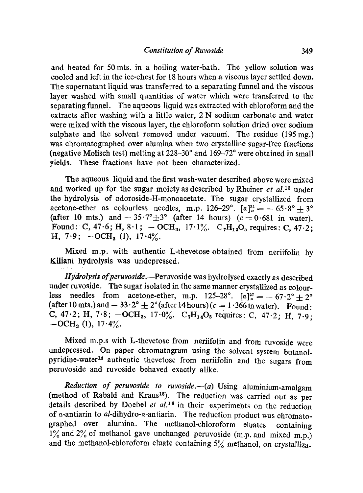and heated for 50 mts. in a boiling water-bath. The yellow solution was cooled and left in the iee-chest for 18 hours when a viscous layer settled down. The superaatant liquid was transferred to a separating funnel and the viscous layer washed with small quantities of water which were transferred to the separating funne!. The aqueous liquid was extracted with chloroform and the extracts after washing with a little water, 2 N sodium carbonate and water were mixed with the viscous layer, the chloroform solution dried over sodium sulphate and the solvent removed under vacuum. The residue (195 mg.) was chromatographed over alumina when two crystalline sugar-free fractions (negative Molisch test) melting at  $228-30^{\circ}$  and  $169-72^{\circ}$  were obtained in small yields. These fractions have not been characterized.

The aqueous liquid and the first wash-water described above were mixed and worked up for the sugar moiety as deseribed by Rheiner *et al. 13* under the hydrolysis of odoroside-H-monoacetate. The sugar crystallized from acetone-ether as colourless needles, m.p. 126-29°.  $[a]_p^{31} = -65.8^\circ + 3^\circ$ (after 10 mts.) and  $- 35.7^{\circ} \pm 3^{\circ}$  (after 14 hours) ( $c = 0.681$  in water). Found: C, 47.6; H, 8.1; - OCH<sub>3</sub>, 17.1%. C<sub>7</sub>H<sub>14</sub>O<sub>5</sub> requires: C, 47.2; H,  $7.9$ ;  $-OCH<sub>3</sub>$  (1),  $17.4\%$ .

Mixed m.p. with authentic L-thevetose obtained from neriifolin by Kiliani hydrolysis was undepressed.

*Hydrolysis of peruvoside.*--Peruvoside was hydrolysed exactly as described under ruvoside. The sugar isolated in the same manner crystallized as colourless needles from acetone-ether, m.p. 125-28°.  $[a]_p^{27} = -67.2^\circ + 2^\circ$ (after 10 mts.) and  $- 33.2^\circ \pm 2^\circ$  (after 14 hours) ( $c = 1.366$  in water). Found: C, 47.2; H, 7.8;  $-OCH_3$ , 17.0%. C<sub>7</sub>H<sub>14</sub>O<sub>5</sub> requires: C, 47.2; H, 7.9;  $-OCH<sub>a</sub>$  (1), 17.4%.

Mixed m.p.s with L-thevetose from neriifolin and from ruvoside were undepressed. On paper chromatogram using the solvent system butanolpyridine-water<sup>14</sup> authentic thevetose from neriifolin and the sugars from peruvoside and ruvoside behaved exactly alike.

*Reduction of peruvoside to ruvoside.* (a) Using aluminium-amalgam (method of Rabald and Kraus<sup>15</sup>). The reduction was carried out as per details described by Doebel et al.<sup>16</sup> in their experiments on the reduction of *a*-antiarin to *al*-dihydro-*a*-antiarin. The reduction product was chromatographed over alumina. The methanol-chloroform eluates containing  $1\%$  and  $2\%$  of methanol gave unchanged peruvoside (m.p. and mixed m.p.) and the methanol-chloroform eluate containing 5% methanol, on crystalliza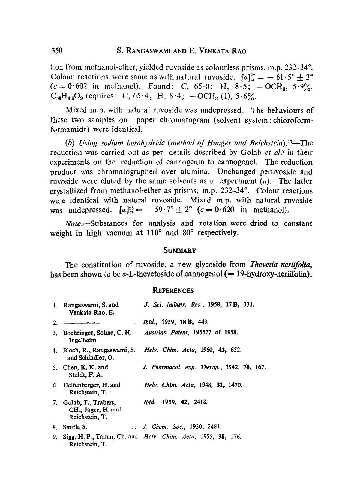tion from methanol-ether, yielded ruvoside as colourless prisms, m.p.  $232-34^\circ$ . Colour reactions were same as with natural ruvoside.  $[a]_p^{27} = -61.5^\circ \pm 3^\circ$  $(c=0.602$  in methanol). Found: C, 65.0; H, 8.5;  $-$ OCH<sub>3</sub>, 5.9%.  $C_{50}H_{46}O_9$  requires: C, 65.4; H, 8.4;  $-OCH_3$  (1), 5.6%.

Mixed m.p. with natural ruvoside was undepressed. The behaviours of these two samples on paper chromatogram (solvent system: chloroformformamide) were identical.

*(b)* Using sodium borohydride (method of Hunger and Reichstein).<sup>17</sup>—The reduction was carried out as per details described by Golab *et al.*<sup>7</sup> in their experiments on the reduction of cannogenin to cannogenol. The reduction product was chromatographed over alumina. Unchanged peruvoside and ruvoside were eluted by the same solvents as in experiment  $(a)$ . The latter crystallized from methanol-ether as prisms, m.p. 232-34°. Colour reactions were identical with natural ruvoside. Mixed m.p. with natural ruvoside was undepressed.  $[a]_p^{28} = -59.7^\circ \pm 2^\circ$  ( $c = 0.620$  in methanol).

*Note.--Substances* for analysis and rotation were dried to constant weight in high vacuum at  $110^{\circ}$  and  $80^{\circ}$  respectively.

## **SUMMARY**

The constitution of ruvoside, a new glycoside from *Thevetia neriifolia,*  has been shown to be  $\alpha$ -L-thevetoside of cannogenol (= 19-hydroxy-nerifolin).

## **REFERENCES**

|    | 1. Rangaswami, S. and<br>Venkata Rao, E.                       | J. Sci. industr. Res., 1958, 17 <b>B.</b> 331.                      |
|----|----------------------------------------------------------------|---------------------------------------------------------------------|
| 2. |                                                                | <i>Ibid.</i> , 1959, <b>18 B,</b> 443.                              |
|    | 3. Boehringer, Sohne, C. H.<br>Ingelheim                       | Austrian Patent, 195577 of 1958.                                    |
|    | 4. Bloch, R., Rangaswami, S.<br>and Schindler, O.              | Helv. Chim. Acta, 1960, 43, 652.                                    |
|    | 5. Chen, $K$ , $K$ , and<br>Steldt, F. A.                      | <b>J.</b> Pharmacol. exp. Therap., 1942, 76, 167.                   |
|    | 6. Helfenberger, H. and<br>Reichstein, T.                      | Helv. Chim. Acta, 1948, 31, 1470.                                   |
|    | 7. Golab, T., Trabert,<br>CH., Jager, H. and<br>Reichstein, T. | <i>Ibid.</i> , 1959, <b>42,</b> 2418.                               |
|    | 8. Smith, S.                                                   | <i>J. Chem. Soc.</i> , 1930, 2481.                                  |
| 9. | Reichstein, T.                                                 | Sigg, H. P., Tamm, Ch. and <i>Helv. Chim. Acta</i> , 1955, 38, 176. |